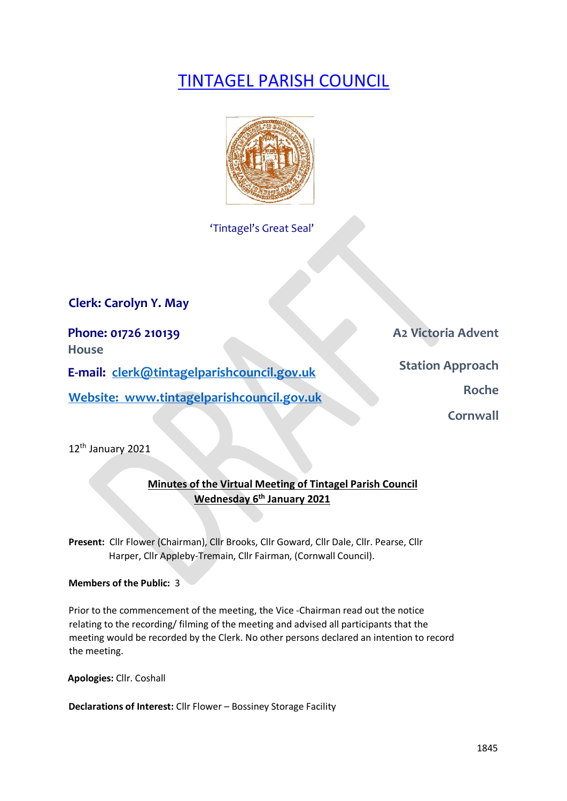# TINTAGEL PARISH COUNCIL



'Tintagel's Great Seal'

**Clerk: Carolyn Y. May** 

**Phone: 01726 210139 A2 Victoria Advent** 

**House** 

**E-mail: clerk@tintagelparishcouncil.gov.uk Station Approach** 

**Website:** www.tintagelparishcouncil.gov.uk **Roche** Roche

**Cornwall** 

12<sup>th</sup> January 2021

## **Minutes of the Virtual Meeting of Tintagel Parish Council Wednesday 6th January 2021**

**Present:** Cllr Flower (Chairman), Cllr Brooks, Cllr Goward, Cllr Dale, Cllr. Pearse, Cllr Harper, Cllr Appleby-Tremain, Cllr Fairman, (Cornwall Council).

**Members of the Public:** 3

Prior to the commencement of the meeting, the Vice -Chairman read out the notice relating to the recording/ filming of the meeting and advised all participants that the meeting would be recorded by the Clerk. No other persons declared an intention to record the meeting.

**Apologies:** Cllr. Coshall

**Declarations of Interest:** Cllr Flower – Bossiney Storage Facility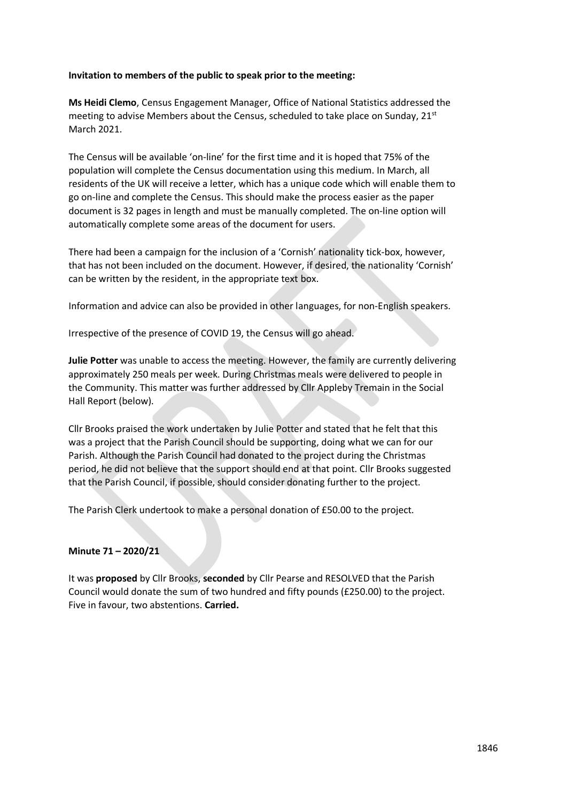## **Invitation to members of the public to speak prior to the meeting:**

**Ms Heidi Clemo**, Census Engagement Manager, Office of National Statistics addressed the meeting to advise Members about the Census, scheduled to take place on Sunday,  $21<sup>st</sup>$ March 2021.

The Census will be available 'on-line' for the first time and it is hoped that 75% of the population will complete the Census documentation using this medium. In March, all residents of the UK will receive a letter, which has a unique code which will enable them to go on-line and complete the Census. This should make the process easier as the paper document is 32 pages in length and must be manually completed. The on-line option will automatically complete some areas of the document for users.

There had been a campaign for the inclusion of a 'Cornish' nationality tick-box, however, that has not been included on the document. However, if desired, the nationality 'Cornish' can be written by the resident, in the appropriate text box.

Information and advice can also be provided in other languages, for non-English speakers.

Irrespective of the presence of COVID 19, the Census will go ahead.

**Julie Potter** was unable to access the meeting. However, the family are currently delivering approximately 250 meals per week. During Christmas meals were delivered to people in the Community. This matter was further addressed by Cllr Appleby Tremain in the Social Hall Report (below).

Cllr Brooks praised the work undertaken by Julie Potter and stated that he felt that this was a project that the Parish Council should be supporting, doing what we can for our Parish. Although the Parish Council had donated to the project during the Christmas period, he did not believe that the support should end at that point. Cllr Brooks suggested that the Parish Council, if possible, should consider donating further to the project.

The Parish Clerk undertook to make a personal donation of £50.00 to the project.

## **Minute 71 – 2020/21**

It was **proposed** by Cllr Brooks, **seconded** by Cllr Pearse and RESOLVED that the Parish Council would donate the sum of two hundred and fifty pounds (£250.00) to the project. Five in favour, two abstentions. **Carried.**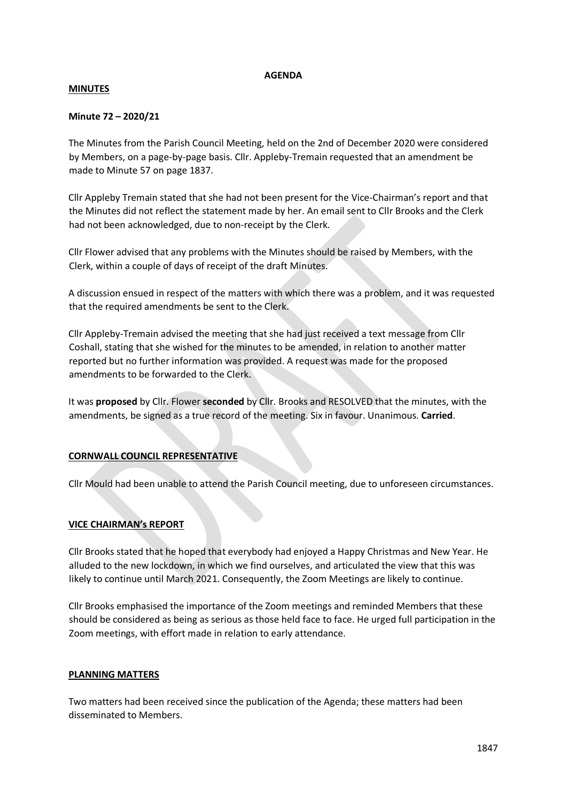#### **AGENDA**

## **MINUTES**

## **Minute 72 – 2020/21**

The Minutes from the Parish Council Meeting, held on the 2nd of December 2020 were considered by Members, on a page-by-page basis. Cllr. Appleby-Tremain requested that an amendment be made to Minute 57 on page 1837.

Cllr Appleby Tremain stated that she had not been present for the Vice-Chairman's report and that the Minutes did not reflect the statement made by her. An email sent to Cllr Brooks and the Clerk had not been acknowledged, due to non-receipt by the Clerk.

Cllr Flower advised that any problems with the Minutes should be raised by Members, with the Clerk, within a couple of days of receipt of the draft Minutes.

A discussion ensued in respect of the matters with which there was a problem, and it was requested that the required amendments be sent to the Clerk.

Cllr Appleby-Tremain advised the meeting that she had just received a text message from Cllr Coshall, stating that she wished for the minutes to be amended, in relation to another matter reported but no further information was provided. A request was made for the proposed amendments to be forwarded to the Clerk.

It was **proposed** by Cllr. Flower **seconded** by Cllr. Brooks and RESOLVED that the minutes, with the amendments, be signed as a true record of the meeting. Six in favour. Unanimous. **Carried**.

## **CORNWALL COUNCIL REPRESENTATIVE**

Cllr Mould had been unable to attend the Parish Council meeting, due to unforeseen circumstances.

## **VICE CHAIRMAN's REPORT**

Cllr Brooks stated that he hoped that everybody had enjoyed a Happy Christmas and New Year. He alluded to the new lockdown, in which we find ourselves, and articulated the view that this was likely to continue until March 2021. Consequently, the Zoom Meetings are likely to continue.

Cllr Brooks emphasised the importance of the Zoom meetings and reminded Members that these should be considered as being as serious as those held face to face. He urged full participation in the Zoom meetings, with effort made in relation to early attendance.

## **PLANNING MATTERS**

Two matters had been received since the publication of the Agenda; these matters had been disseminated to Members.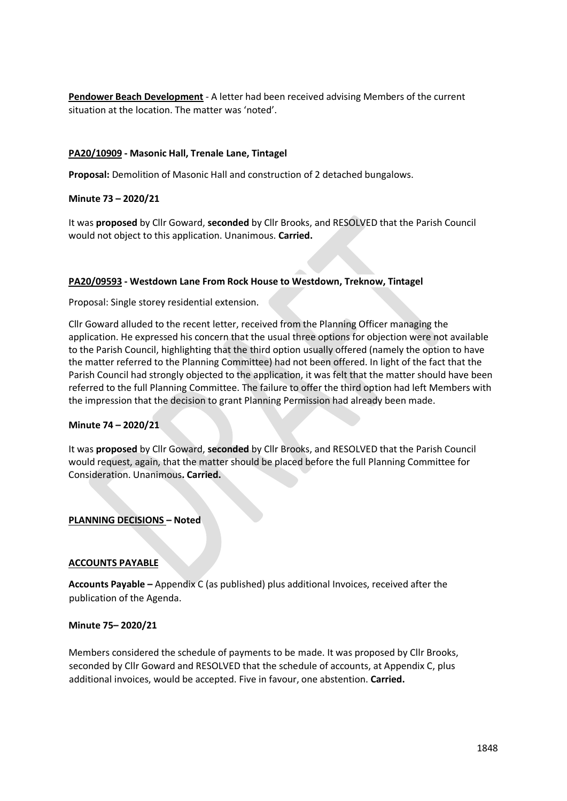**Pendower Beach Development** - A letter had been received advising Members of the current situation at the location. The matter was 'noted'.

## **PA20/10909 - Masonic Hall, Trenale Lane, Tintagel**

**Proposal:** Demolition of Masonic Hall and construction of 2 detached bungalows.

**Minute 73 – 2020/21**

It was **proposed** by Cllr Goward, **seconded** by Cllr Brooks, and RESOLVED that the Parish Council would not object to this application. Unanimous. **Carried.**

## **PA20/09593 - Westdown Lane From Rock House to Westdown, Treknow, Tintagel**

Proposal: Single storey residential extension.

Cllr Goward alluded to the recent letter, received from the Planning Officer managing the application. He expressed his concern that the usual three options for objection were not available to the Parish Council, highlighting that the third option usually offered (namely the option to have the matter referred to the Planning Committee) had not been offered. In light of the fact that the Parish Council had strongly objected to the application, it was felt that the matter should have been referred to the full Planning Committee. The failure to offer the third option had left Members with the impression that the decision to grant Planning Permission had already been made.

## **Minute 74 – 2020/21**

It was **proposed** by Cllr Goward, **seconded** by Cllr Brooks, and RESOLVED that the Parish Council would request, again, that the matter should be placed before the full Planning Committee for Consideration. Unanimous**. Carried.**

## **PLANNING DECISIONS – Noted**

## **ACCOUNTS PAYABLE**

**Accounts Payable –** Appendix C (as published) plus additional Invoices, received after the publication of the Agenda.

## **Minute 75– 2020/21**

Members considered the schedule of payments to be made. It was proposed by Cllr Brooks, seconded by Cllr Goward and RESOLVED that the schedule of accounts, at Appendix C, plus additional invoices, would be accepted. Five in favour, one abstention. **Carried.**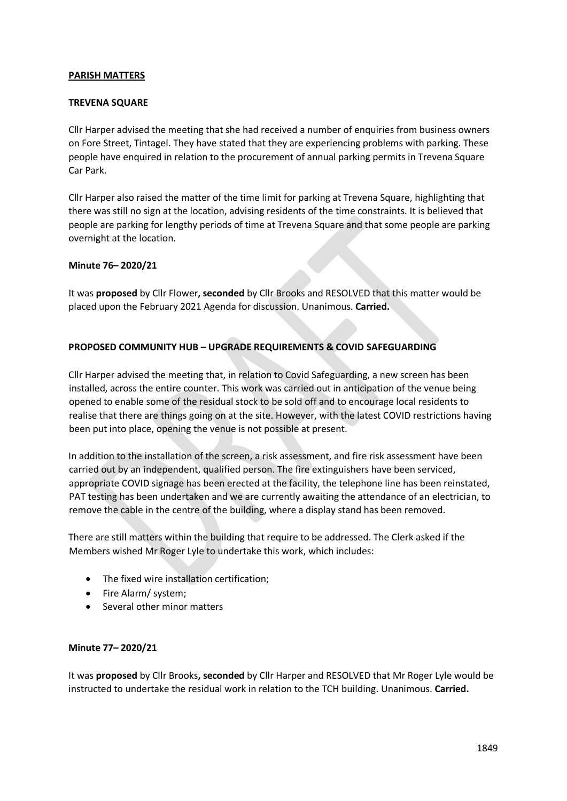## **PARISH MATTERS**

## **TREVENA SQUARE**

Cllr Harper advised the meeting that she had received a number of enquiries from business owners on Fore Street, Tintagel. They have stated that they are experiencing problems with parking. These people have enquired in relation to the procurement of annual parking permits in Trevena Square Car Park.

Cllr Harper also raised the matter of the time limit for parking at Trevena Square, highlighting that there was still no sign at the location, advising residents of the time constraints. It is believed that people are parking for lengthy periods of time at Trevena Square and that some people are parking overnight at the location.

## **Minute 76– 2020/21**

It was **proposed** by Cllr Flower**, seconded** by Cllr Brooks and RESOLVED that this matter would be placed upon the February 2021 Agenda for discussion. Unanimous. **Carried.**

## **PROPOSED COMMUNITY HUB – UPGRADE REQUIREMENTS & COVID SAFEGUARDING**

Cllr Harper advised the meeting that, in relation to Covid Safeguarding, a new screen has been installed, across the entire counter. This work was carried out in anticipation of the venue being opened to enable some of the residual stock to be sold off and to encourage local residents to realise that there are things going on at the site. However, with the latest COVID restrictions having been put into place, opening the venue is not possible at present.

In addition to the installation of the screen, a risk assessment, and fire risk assessment have been carried out by an independent, qualified person. The fire extinguishers have been serviced, appropriate COVID signage has been erected at the facility, the telephone line has been reinstated, PAT testing has been undertaken and we are currently awaiting the attendance of an electrician, to remove the cable in the centre of the building, where a display stand has been removed.

There are still matters within the building that require to be addressed. The Clerk asked if the Members wished Mr Roger Lyle to undertake this work, which includes:

- The fixed wire installation certification;
- Fire Alarm/ system;
- Several other minor matters

## **Minute 77– 2020/21**

It was **proposed** by Cllr Brooks**, seconded** by Cllr Harper and RESOLVED that Mr Roger Lyle would be instructed to undertake the residual work in relation to the TCH building. Unanimous. **Carried.**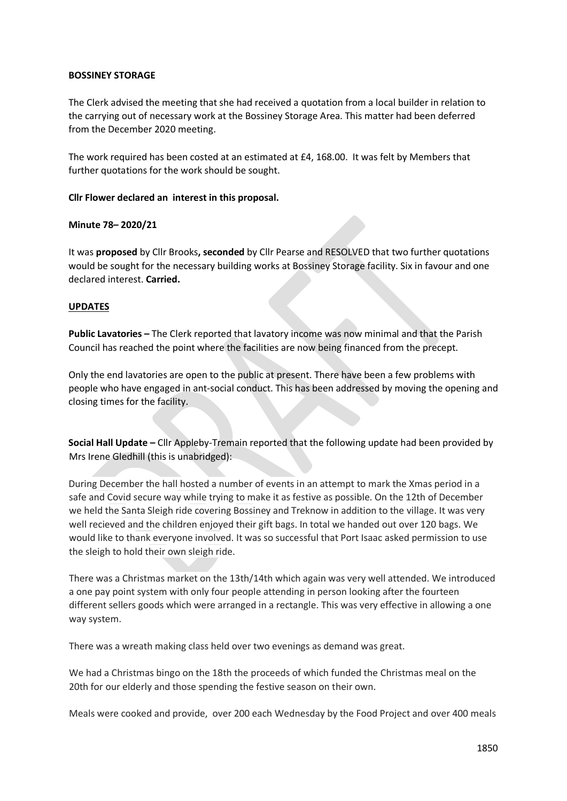#### **BOSSINEY STORAGE**

The Clerk advised the meeting that she had received a quotation from a local builder in relation to the carrying out of necessary work at the Bossiney Storage Area. This matter had been deferred from the December 2020 meeting.

The work required has been costed at an estimated at £4, 168.00. It was felt by Members that further quotations for the work should be sought.

## **Cllr Flower declared an interest in this proposal.**

#### **Minute 78– 2020/21**

It was **proposed** by Cllr Brooks**, seconded** by Cllr Pearse and RESOLVED that two further quotations would be sought for the necessary building works at Bossiney Storage facility. Six in favour and one declared interest. **Carried.**

#### **UPDATES**

**Public Lavatories –** The Clerk reported that lavatory income was now minimal and that the Parish Council has reached the point where the facilities are now being financed from the precept.

Only the end lavatories are open to the public at present. There have been a few problems with people who have engaged in ant-social conduct. This has been addressed by moving the opening and closing times for the facility.

**Social Hall Update –** Cllr Appleby-Tremain reported that the following update had been provided by Mrs Irene Gledhill (this is unabridged):

During December the hall hosted a number of events in an attempt to mark the Xmas period in a safe and Covid secure way while trying to make it as festive as possible. On the 12th of December we held the Santa Sleigh ride covering Bossiney and Treknow in addition to the village. It was very well recieved and the children enjoyed their gift bags. In total we handed out over 120 bags. We would like to thank everyone involved. It was so successful that Port Isaac asked permission to use the sleigh to hold their own sleigh ride.

There was a Christmas market on the 13th/14th which again was very well attended. We introduced a one pay point system with only four people attending in person looking after the fourteen different sellers goods which were arranged in a rectangle. This was very effective in allowing a one way system.

There was a wreath making class held over two evenings as demand was great.

We had a Christmas bingo on the 18th the proceeds of which funded the Christmas meal on the 20th for our elderly and those spending the festive season on their own.

Meals were cooked and provide, over 200 each Wednesday by the Food Project and over 400 meals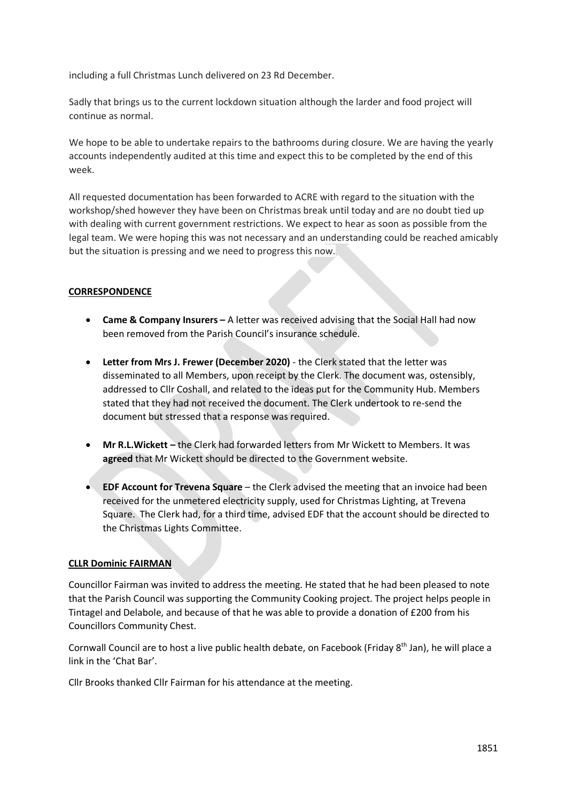including a full Christmas Lunch delivered on 23 Rd December.

Sadly that brings us to the current lockdown situation although the larder and food project will continue as normal.

We hope to be able to undertake repairs to the bathrooms during closure. We are having the yearly accounts independently audited at this time and expect this to be completed by the end of this week.

All requested documentation has been forwarded to ACRE with regard to the situation with the workshop/shed however they have been on Christmas break until today and are no doubt tied up with dealing with current government restrictions. We expect to hear as soon as possible from the legal team. We were hoping this was not necessary and an understanding could be reached amicably but the situation is pressing and we need to progress this now.

## **CORRESPONDENCE**

- **Came & Company Insurers –** A letter was received advising that the Social Hall had now been removed from the Parish Council's insurance schedule.
- **Letter from Mrs J. Frewer (December 2020)**  the Clerk stated that the letter was disseminated to all Members, upon receipt by the Clerk. The document was, ostensibly, addressed to Cllr Coshall, and related to the ideas put for the Community Hub. Members stated that they had not received the document. The Clerk undertook to re-send the document but stressed that a response was required.
- **Mr R.L.Wickett –** the Clerk had forwarded letters from Mr Wickett to Members. It was **agreed** that Mr Wickett should be directed to the Government website.
- **EDF Account for Trevena Square** the Clerk advised the meeting that an invoice had been received for the unmetered electricity supply, used for Christmas Lighting, at Trevena Square. The Clerk had, for a third time, advised EDF that the account should be directed to the Christmas Lights Committee.

## **CLLR Dominic FAIRMAN**

Councillor Fairman was invited to address the meeting. He stated that he had been pleased to note that the Parish Council was supporting the Community Cooking project. The project helps people in Tintagel and Delabole, and because of that he was able to provide a donation of £200 from his Councillors Community Chest.

Cornwall Council are to host a live public health debate, on Facebook (Friday 8<sup>th</sup> Jan), he will place a link in the 'Chat Bar'.

Cllr Brooks thanked Cllr Fairman for his attendance at the meeting.